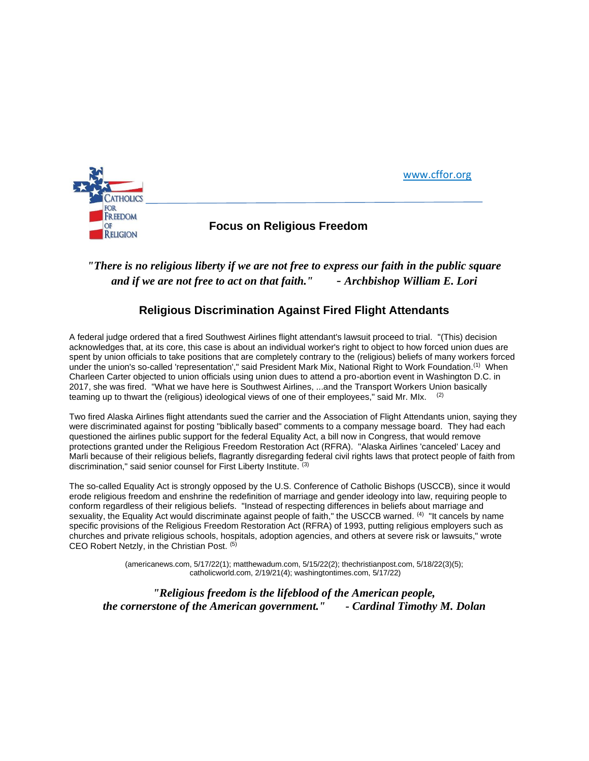

# *"There is no religious liberty if we are not free to express our faith in the public square and if we are not free to act on that faith."* - *Archbishop William E. Lori*

## **Religious Discrimination Against Fired Flight Attendants**

A federal judge ordered that a fired Southwest Airlines flight attendant's lawsuit proceed to trial. "(This) decision acknowledges that, at its core, this case is about an individual worker's right to object to how forced union dues are spent by union officials to take positions that are completely contrary to the (religious) beliefs of many workers forced under the union's so-called 'representation'," said President Mark Mix, National Right to Work Foundation.(1) When Charleen Carter objected to union officials using union dues to attend a pro-abortion event in Washington D.C. in 2017, she was fired. "What we have here is Southwest Airlines, ...and the Transport Workers Union basically teaming up to thwart the (religious) ideological views of one of their employees," said Mr. MIx. <sup>(2)</sup>

Two fired Alaska Airlines flight attendants sued the carrier and the Association of Flight Attendants union, saying they were discriminated against for posting "biblically based" comments to a company message board. They had each questioned the airlines public support for the federal Equality Act, a bill now in Congress, that would remove protections granted under the Religious Freedom Restoration Act (RFRA). "Alaska Airlines 'canceled' Lacey and Marli because of their religious beliefs, flagrantly disregarding federal civil rights laws that protect people of faith from discrimination," said senior counsel for First Liberty Institute. (3)

The so-called Equality Act is strongly opposed by the U.S. Conference of Catholic Bishops (USCCB), since it would erode religious freedom and enshrine the redefinition of marriage and gender ideology into law, requiring people to conform regardless of their religious beliefs. "Instead of respecting differences in beliefs about marriage and sexuality, the Equality Act would discriminate against people of faith," the USCCB warned. <sup>(4)</sup> "It cancels by name specific provisions of the Religious Freedom Restoration Act (RFRA) of 1993, putting religious employers such as churches and private religious schools, hospitals, adoption agencies, and others at severe risk or lawsuits," wrote CEO Robert Netzly, in the Christian Post. (5)

> (americanews.com, 5/17/22(1); matthewadum.com, 5/15/22(2); thechristianpost.com, 5/18/22(3)(5); catholicworld.com, 2/19/21(4); washingtontimes.com, 5/17/22)

*"Religious freedom is the lifeblood of the American people, the cornerstone of the American government." - Cardinal Timothy M. Dolan*